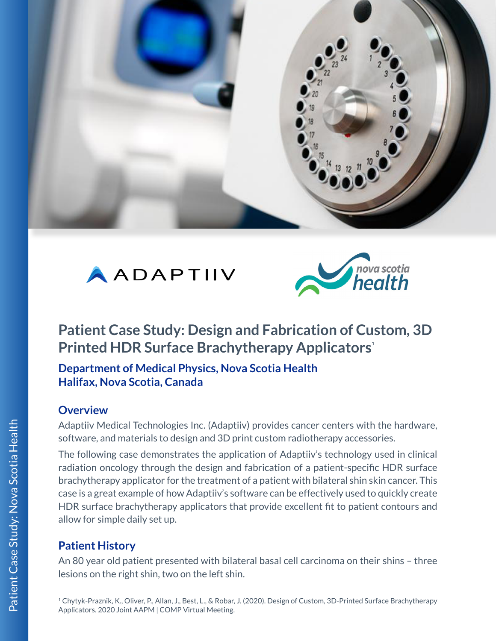





# **Patient Case Study: Design and Fabrication of Custom, 3D Printed HDR Surface Brachytherapy Applicators**<sup>1</sup>

**Department of Medical Physics, Nova Scotia Health Halifax, Nova Scotia, Canada**

#### **Overview**

Adaptiiv Medical Technologies Inc. (Adaptiiv) provides cancer centers with the hardware, software, and materials to design and 3D print custom radiotherapy accessories.

The following case demonstrates the application of Adaptiiv's technology used in clinical radiation oncology through the design and fabrication of a patient-specific HDR surface brachytherapy applicator for the treatment of a patient with bilateral shin skin cancer. This case is a great example of how Adaptiiv's software can be effectively used to quickly create HDR surface brachytherapy applicators that provide excellent fit to patient contours and allow for simple daily set up.

# **Patient History**

An 80 year old patient presented with bilateral basal cell carcinoma on their shins – three lesions on the right shin, two on the left shin.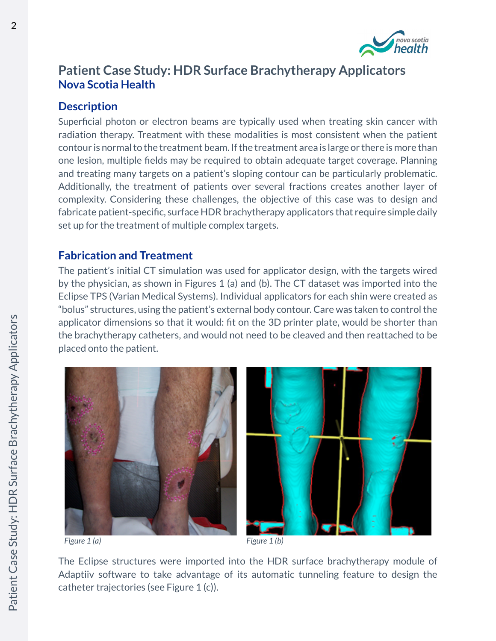

### **Patient Case Study: HDR Surface Brachytherapy Applicators Nova Scotia Health**

### **Description**

Superficial photon or electron beams are typically used when treating skin cancer with radiation therapy. Treatment with these modalities is most consistent when the patient contour is normal to the treatment beam. If the treatment area is large or there is more than one lesion, multiple fields may be required to obtain adequate target coverage. Planning and treating many targets on a patient's sloping contour can be particularly problematic. Additionally, the treatment of patients over several fractions creates another layer of complexity. Considering these challenges, the objective of this case was to design and fabricate patient-specific, surface HDR brachytherapy applicators that require simple daily set up for the treatment of multiple complex targets.

### **Fabrication and Treatment**

The patient's initial CT simulation was used for applicator design, with the targets wired by the physician, as shown in Figures 1 (a) and (b). The CT dataset was imported into the Eclipse TPS (Varian Medical Systems). Individual applicators for each shin were created as "bolus" structures, using the patient's external body contour. Care was taken to control the applicator dimensions so that it would: fit on the 3D printer plate, would be shorter than the brachytherapy catheters, and would not need to be cleaved and then reattached to be placed onto the patient.





*Figure 1 (a) Figure 1 (b)*

The Eclipse structures were imported into the HDR surface brachytherapy module of Adaptiiv software to take advantage of its automatic tunneling feature to design the catheter trajectories (see Figure 1 (c)).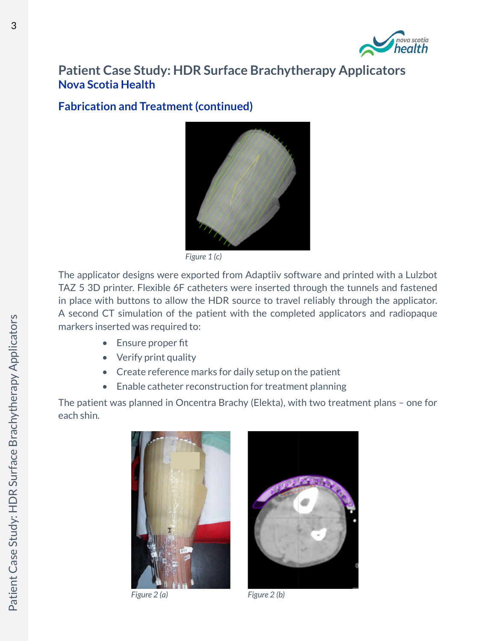

## **Patient Case Study: HDR Surface Brachytherapy Applicators Nova Scotia Health**

#### **Fabrication and Treatment (continued)**



*Figure 1 (c)*

The applicator designs were exported from Adaptiiv software and printed with a Lulzbot TAZ 5 3D printer. Flexible 6F catheters were inserted through the tunnels and fastened in place with buttons to allow the HDR source to travel reliably through the applicator. A second CT simulation of the patient with the completed applicators and radiopaque markers inserted was required to:

- Ensure proper fit
- Verify print quality
- Create reference marks for daily setup on the patient
- Enable catheter reconstruction for treatment planning

The patient was planned in Oncentra Brachy (Elekta), with two treatment plans – one for each shin.



*Figure 2 (a) Figure 2 (b)*